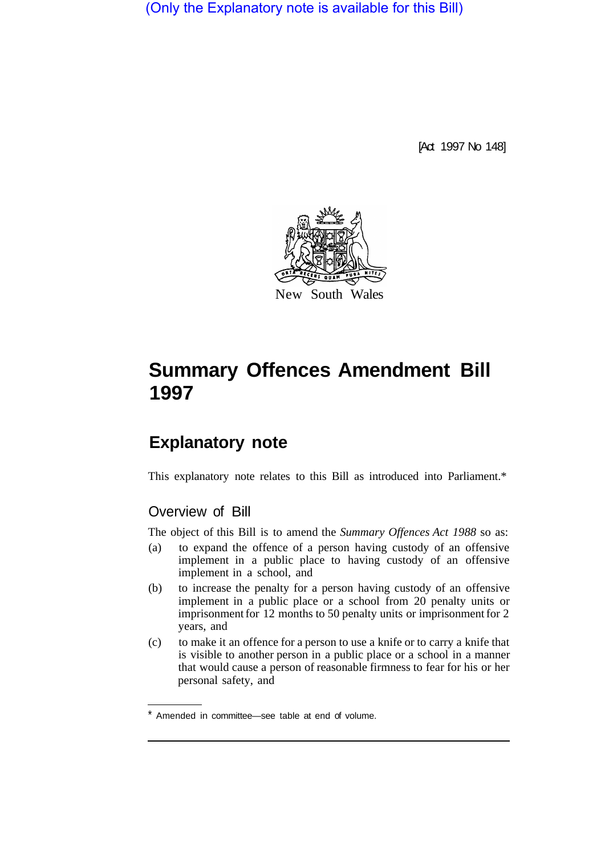(Only the Explanatory note is available for this Bill)

[Act 1997 No 148]



# **Summary Offences Amendment Bill 1997**

## **Explanatory note**

This explanatory note relates to this Bill as introduced into Parliament.\*

### Overview of Bill

The object of this Bill is to amend the *Summary Offences Act 1988* so as:

- (a) to expand the offence of a person having custody of an offensive implement in a public place to having custody of an offensive implement in a school, and
- (b) to increase the penalty for a person having custody of an offensive implement in a public place or a school from 20 penalty units or imprisonment for 12 months to 50 penalty units or imprisonment for 2 years, and
- (c) to make it an offence for a person to use a knife or to carry a knife that is visible to another person in a public place or a school in a manner that would cause a person of reasonable firmness to fear for his or her personal safety, and

Amended in committee—see table at end of volume.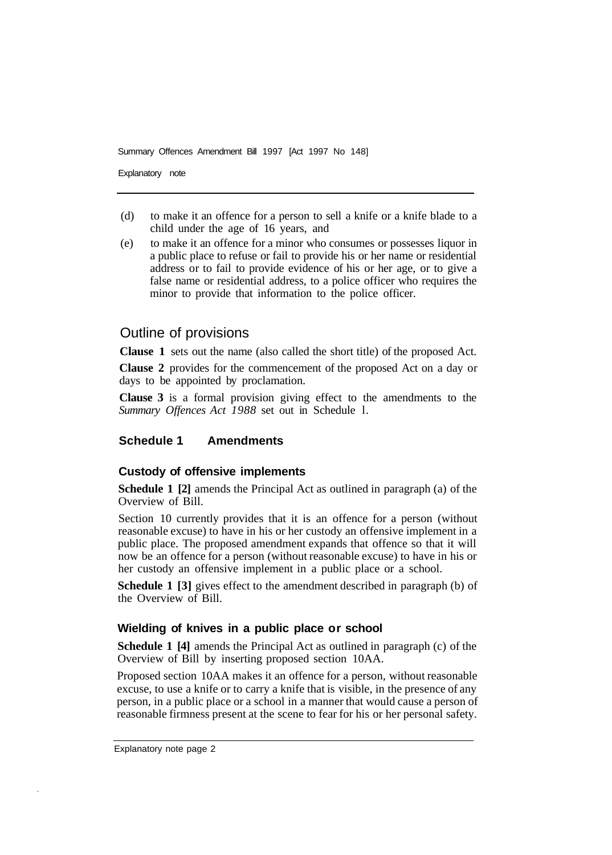Summary Offences Amendment Bill 1997 [Act 1997 No 148]

Explanatory note

- (d) to make it an offence for a person to sell a knife or a knife blade to a child under the age of 16 years, and
- (e) to make it an offence for a minor who consumes or possesses liquor in a public place to refuse or fail to provide his or her name or residential address or to fail to provide evidence of his or her age, or to give a false name or residential address, to a police officer who requires the minor to provide that information to the police officer.

#### Outline of provisions

**Clause 1** sets out the name (also called the short title) of the proposed Act.

**Clause 2** provides for the commencement of the proposed Act on a day or days to be appointed by proclamation.

**Clause 3** is a formal provision giving effect to the amendments to the *Summary Offences Act 1988* set out in Schedule l.

#### **Schedule 1 Amendments**

#### **Custody of offensive implements**

**Schedule 1 [2]** amends the Principal Act as outlined in paragraph (a) of the Overview of Bill.

Section 10 currently provides that it is an offence for a person (without reasonable excuse) to have in his or her custody an offensive implement in a public place. The proposed amendment expands that offence so that it will now be an offence for a person (without reasonable excuse) to have in his or her custody an offensive implement in a public place or a school.

**Schedule 1 [3]** gives effect to the amendment described in paragraph (b) of the Overview of Bill.

#### **Wielding of knives in a public place or school**

**Schedule 1 [4]** amends the Principal Act as outlined in paragraph (c) of the Overview of Bill by inserting proposed section 10AA.

Proposed section 10AA makes it an offence for a person, without reasonable excuse, to use a knife or to carry a knife that is visible, in the presence of any person, in a public place or a school in a manner that would cause a person of reasonable firmness present at the scene to fear for his or her personal safety.